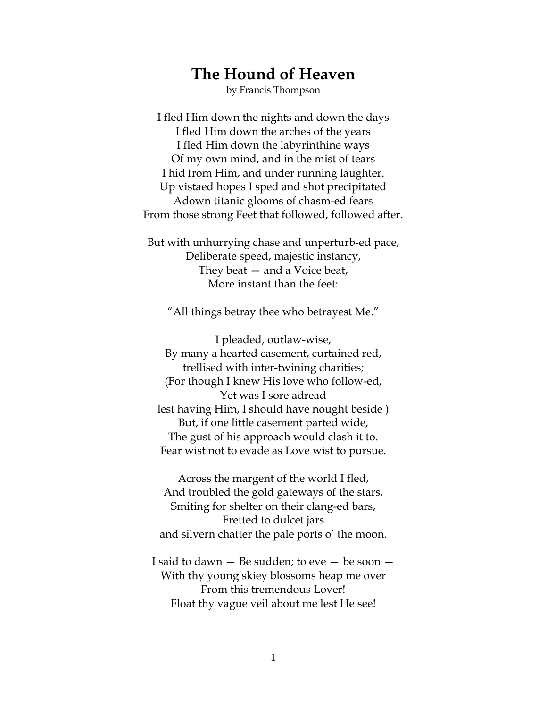## **The Hound of Heaven**

by Francis Thompson

I fled Him down the nights and down the days I fled Him down the arches of the years I fled Him down the labyrinthine ways Of my own mind, and in the mist of tears I hid from Him, and under running laughter. Up vistaed hopes I sped and shot precipitated Adown titanic glooms of chasm-ed fears From those strong Feet that followed, followed after.

But with unhurrying chase and unperturb-ed pace, Deliberate speed, majestic instancy, They beat — and a Voice beat, More instant than the feet:

"All things betray thee who betrayest Me."

I pleaded, outlaw-wise, By many a hearted casement, curtained red, trellised with inter-twining charities; (For though I knew His love who follow-ed, Yet was I sore adread lest having Him, I should have nought beside ) But, if one little casement parted wide, The gust of his approach would clash it to. Fear wist not to evade as Love wist to pursue.

Across the margent of the world I fled, And troubled the gold gateways of the stars, Smiting for shelter on their clang-ed bars, Fretted to dulcet jars and silvern chatter the pale ports o' the moon.

I said to dawn  $-$  Be sudden; to eve  $-$  be soon  $-$ With thy young skiey blossoms heap me over From this tremendous Lover! Float thy vague veil about me lest He see!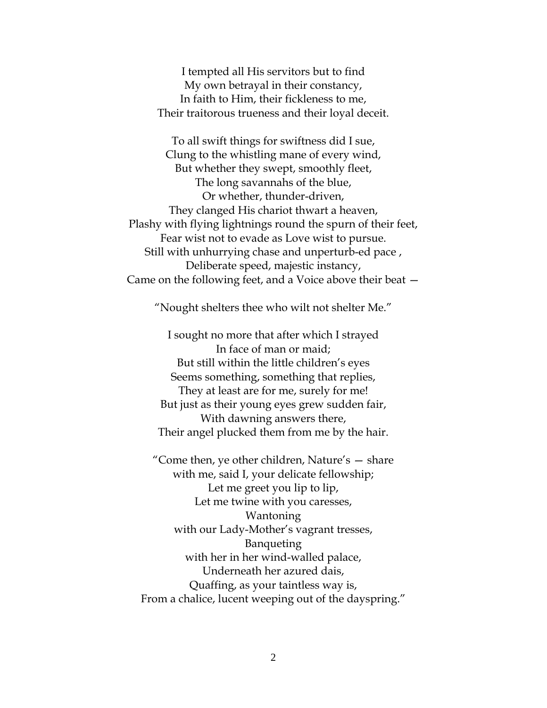I tempted all His servitors but to find My own betrayal in their constancy, In faith to Him, their fickleness to me, Their traitorous trueness and their loyal deceit.

To all swift things for swiftness did I sue, Clung to the whistling mane of every wind, But whether they swept, smoothly fleet, The long savannahs of the blue, Or whether, thunder-driven, They clanged His chariot thwart a heaven, Plashy with flying lightnings round the spurn of their feet, Fear wist not to evade as Love wist to pursue. Still with unhurrying chase and unperturb-ed pace , Deliberate speed, majestic instancy, Came on the following feet, and a Voice above their beat —

"Nought shelters thee who wilt not shelter Me."

I sought no more that after which I strayed In face of man or maid; But still within the little children's eyes Seems something, something that replies, They at least are for me, surely for me! But just as their young eyes grew sudden fair, With dawning answers there, Their angel plucked them from me by the hair.

"Come then, ye other children, Nature's — share with me, said I, your delicate fellowship; Let me greet you lip to lip, Let me twine with you caresses, Wantoning with our Lady-Mother's vagrant tresses, Banqueting with her in her wind-walled palace, Underneath her azured dais, Quaffing, as your taintless way is, From a chalice, lucent weeping out of the dayspring."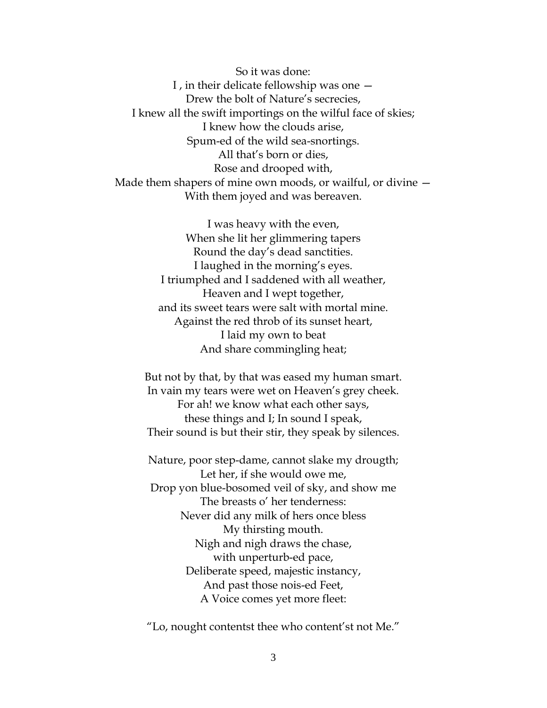So it was done: I , in their delicate fellowship was one — Drew the bolt of Nature's secrecies, I knew all the swift importings on the wilful face of skies; I knew how the clouds arise, Spum-ed of the wild sea-snortings. All that's born or dies, Rose and drooped with, Made them shapers of mine own moods, or wailful, or divine — With them joyed and was bereaven.

> I was heavy with the even, When she lit her glimmering tapers Round the day's dead sanctities. I laughed in the morning's eyes. I triumphed and I saddened with all weather, Heaven and I wept together, and its sweet tears were salt with mortal mine. Against the red throb of its sunset heart, I laid my own to beat And share commingling heat;

But not by that, by that was eased my human smart. In vain my tears were wet on Heaven's grey cheek. For ah! we know what each other says, these things and I; In sound I speak, Their sound is but their stir, they speak by silences.

Nature, poor step-dame, cannot slake my drougth; Let her, if she would owe me, Drop yon blue-bosomed veil of sky, and show me The breasts o' her tenderness: Never did any milk of hers once bless My thirsting mouth. Nigh and nigh draws the chase, with unperturb-ed pace, Deliberate speed, majestic instancy, And past those nois-ed Feet, A Voice comes yet more fleet:

"Lo, nought contentst thee who content'st not Me."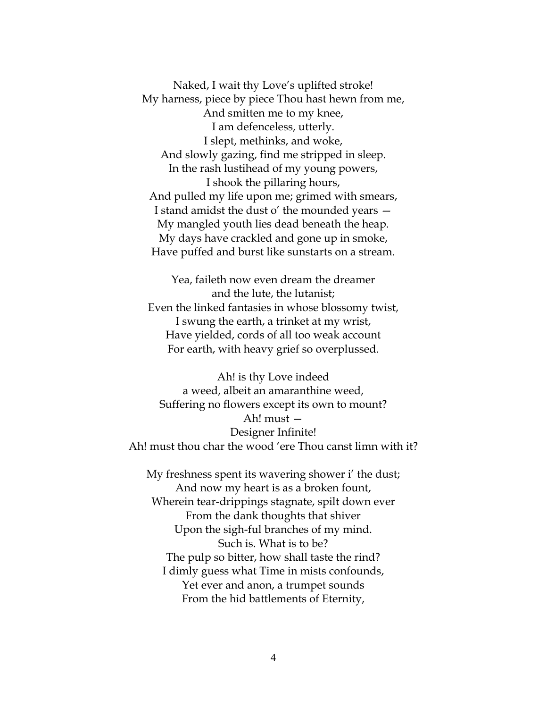Naked, I wait thy Love's uplifted stroke! My harness, piece by piece Thou hast hewn from me, And smitten me to my knee, I am defenceless, utterly. I slept, methinks, and woke, And slowly gazing, find me stripped in sleep. In the rash lustihead of my young powers, I shook the pillaring hours, And pulled my life upon me; grimed with smears, I stand amidst the dust o' the mounded years — My mangled youth lies dead beneath the heap. My days have crackled and gone up in smoke, Have puffed and burst like sunstarts on a stream.

Yea, faileth now even dream the dreamer and the lute, the lutanist; Even the linked fantasies in whose blossomy twist, I swung the earth, a trinket at my wrist, Have yielded, cords of all too weak account For earth, with heavy grief so overplussed.

Ah! is thy Love indeed a weed, albeit an amaranthine weed, Suffering no flowers except its own to mount? Ah! must — Designer Infinite! Ah! must thou char the wood 'ere Thou canst limn with it?

My freshness spent its wavering shower i' the dust; And now my heart is as a broken fount, Wherein tear-drippings stagnate, spilt down ever From the dank thoughts that shiver Upon the sigh-ful branches of my mind. Such is. What is to be? The pulp so bitter, how shall taste the rind? I dimly guess what Time in mists confounds, Yet ever and anon, a trumpet sounds From the hid battlements of Eternity,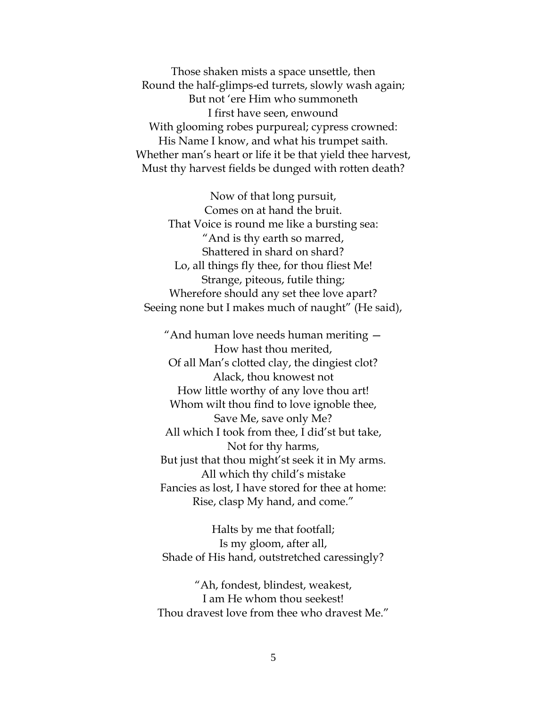Those shaken mists a space unsettle, then Round the half-glimps-ed turrets, slowly wash again; But not 'ere Him who summoneth I first have seen, enwound With glooming robes purpureal; cypress crowned: His Name I know, and what his trumpet saith. Whether man's heart or life it be that yield thee harvest, Must thy harvest fields be dunged with rotten death?

Now of that long pursuit, Comes on at hand the bruit. That Voice is round me like a bursting sea: "And is thy earth so marred, Shattered in shard on shard? Lo, all things fly thee, for thou fliest Me! Strange, piteous, futile thing; Wherefore should any set thee love apart? Seeing none but I makes much of naught" (He said),

"And human love needs human meriting — How hast thou merited, Of all Man's clotted clay, the dingiest clot? Alack, thou knowest not How little worthy of any love thou art! Whom wilt thou find to love ignoble thee, Save Me, save only Me? All which I took from thee, I did'st but take, Not for thy harms, But just that thou might'st seek it in My arms. All which thy child's mistake Fancies as lost, I have stored for thee at home: Rise, clasp My hand, and come."

Halts by me that footfall; Is my gloom, after all, Shade of His hand, outstretched caressingly?

"Ah, fondest, blindest, weakest, I am He whom thou seekest! Thou dravest love from thee who dravest Me."